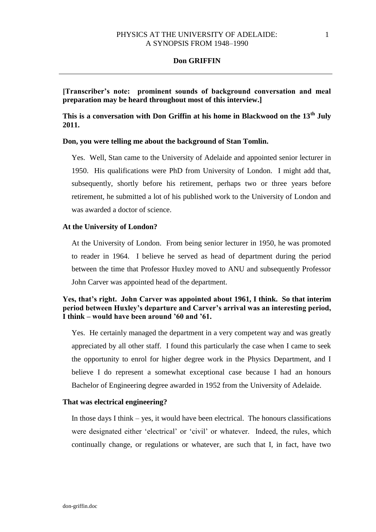**[Transcriber's note: prominent sounds of background conversation and meal preparation may be heard throughout most of this interview.]** 

**This is a conversation with Don Griffin at his home in Blackwood on the 13th July 2011.** 

## **Don, you were telling me about the background of Stan Tomlin.**

Yes. Well, Stan came to the University of Adelaide and appointed senior lecturer in 1950. His qualifications were PhD from University of London. I might add that, subsequently, shortly before his retirement, perhaps two or three years before retirement, he submitted a lot of his published work to the University of London and was awarded a doctor of science.

## **At the University of London?**

At the University of London. From being senior lecturer in 1950, he was promoted to reader in 1964. I believe he served as head of department during the period between the time that Professor Huxley moved to ANU and subsequently Professor John Carver was appointed head of the department.

# **Yes, that's right. John Carver was appointed about 1961, I think. So that interim period between Huxley's departure and Carver's arrival was an interesting period, I think – would have been around '60 and '61.**

Yes. He certainly managed the department in a very competent way and was greatly appreciated by all other staff. I found this particularly the case when I came to seek the opportunity to enrol for higher degree work in the Physics Department, and I believe I do represent a somewhat exceptional case because I had an honours Bachelor of Engineering degree awarded in 1952 from the University of Adelaide.

## **That was electrical engineering?**

In those days I think – yes, it would have been electrical. The honours classifications were designated either 'electrical' or 'civil' or whatever. Indeed, the rules, which continually change, or regulations or whatever, are such that I, in fact, have two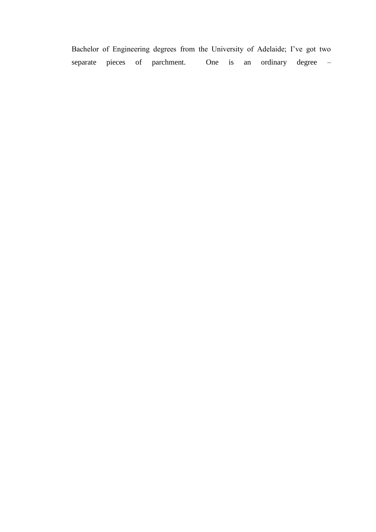Bachelor of Engineering degrees from the University of Adelaide; I've got two separate pieces of parchment. One is an ordinary degree –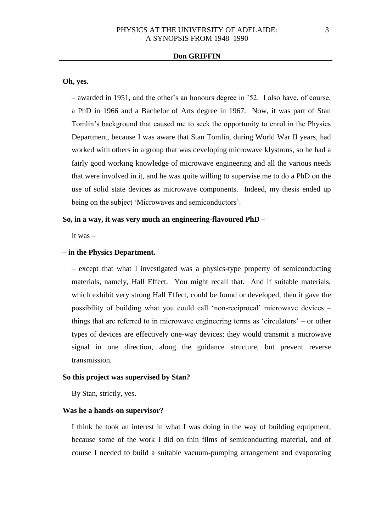# **Oh, yes.**

– awarded in 1951, and the other's an honours degree in '52. I also have, of course, a PhD in 1966 and a Bachelor of Arts degree in 1967. Now, it was part of Stan Tomlin's background that caused me to seek the opportunity to enrol in the Physics Department, because I was aware that Stan Tomlin, during World War II years, had worked with others in a group that was developing microwave klystrons, so he had a fairly good working knowledge of microwave engineering and all the various needs that were involved in it, and he was quite willing to supervise me to do a PhD on the use of solid state devices as microwave components. Indeed, my thesis ended up being on the subject 'Microwaves and semiconductors'.

# **So, in a way, it was very much an engineering-flavoured PhD –**

It was –

# **– in the Physics Department.**

– except that what I investigated was a physics-type property of semiconducting materials, namely, Hall Effect. You might recall that. And if suitable materials, which exhibit very strong Hall Effect, could be found or developed, then it gave the possibility of building what you could call 'non-reciprocal' microwave devices – things that are referred to in microwave engineering terms as 'circulators' – or other types of devices are effectively one-way devices; they would transmit a microwave signal in one direction, along the guidance structure, but prevent reverse transmission.

## **So this project was supervised by Stan?**

By Stan, strictly, yes.

### **Was he a hands-on supervisor?**

I think he took an interest in what I was doing in the way of building equipment, because some of the work I did on thin films of semiconducting material, and of course I needed to build a suitable vacuum-pumping arrangement and evaporating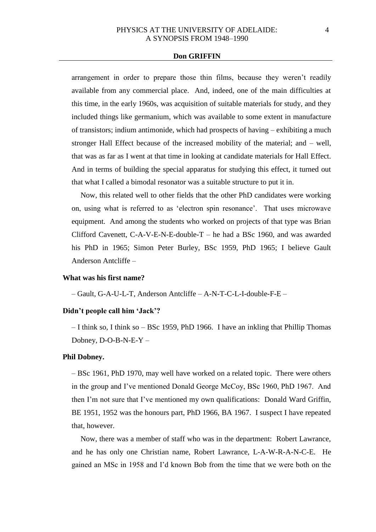arrangement in order to prepare those thin films, because they weren't readily available from any commercial place. And, indeed, one of the main difficulties at this time, in the early 1960s, was acquisition of suitable materials for study, and they included things like germanium, which was available to some extent in manufacture of transistors; indium antimonide, which had prospects of having – exhibiting a much stronger Hall Effect because of the increased mobility of the material; and – well, that was as far as I went at that time in looking at candidate materials for Hall Effect. And in terms of building the special apparatus for studying this effect, it turned out that what I called a bimodal resonator was a suitable structure to put it in.

Now, this related well to other fields that the other PhD candidates were working on, using what is referred to as 'electron spin resonance'. That uses microwave equipment. And among the students who worked on projects of that type was Brian Clifford Cavenett, C-A-V-E-N-E-double-T – he had a BSc 1960, and was awarded his PhD in 1965; Simon Peter Burley, BSc 1959, PhD 1965; I believe Gault Anderson Antcliffe –

#### **What was his first name?**

– Gault, G-A-U-L-T, Anderson Antcliffe – A-N-T-C-L-I-double-F-E –

### **Didn't people call him 'Jack'?**

– I think so, I think so – BSc 1959, PhD 1966. I have an inkling that Phillip Thomas Dobney, D-O-B-N-E-Y –

# **Phil Dobney.**

– BSc 1961, PhD 1970, may well have worked on a related topic. There were others in the group and I've mentioned Donald George McCoy, BSc 1960, PhD 1967. And then I'm not sure that I've mentioned my own qualifications: Donald Ward Griffin, BE 1951, 1952 was the honours part, PhD 1966, BA 1967. I suspect I have repeated that, however.

Now, there was a member of staff who was in the department: Robert Lawrance, and he has only one Christian name, Robert Lawrance, L-A-W-R-A-N-C-E. He gained an MSc in 1958 and I'd known Bob from the time that we were both on the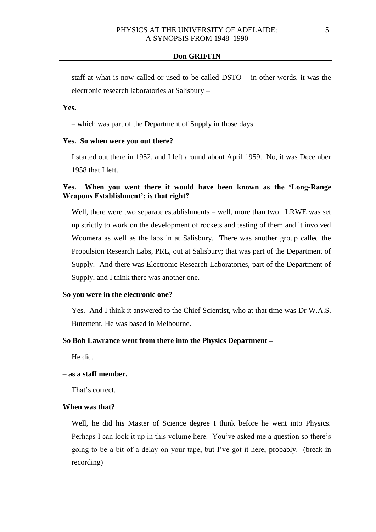staff at what is now called or used to be called DSTO – in other words, it was the electronic research laboratories at Salisbury –

# **Yes.**

– which was part of the Department of Supply in those days.

## **Yes. So when were you out there?**

I started out there in 1952, and I left around about April 1959. No, it was December 1958 that I left.

# **Yes. When you went there it would have been known as the 'Long-Range Weapons Establishment'; is that right?**

Well, there were two separate establishments – well, more than two. LRWE was set up strictly to work on the development of rockets and testing of them and it involved Woomera as well as the labs in at Salisbury. There was another group called the Propulsion Research Labs, PRL, out at Salisbury; that was part of the Department of Supply. And there was Electronic Research Laboratories, part of the Department of Supply, and I think there was another one.

## **So you were in the electronic one?**

Yes. And I think it answered to the Chief Scientist, who at that time was Dr W.A.S. Butement. He was based in Melbourne.

### **So Bob Lawrance went from there into the Physics Department –**

He did.

# **– as a staff member.**

That's correct.

# **When was that?**

Well, he did his Master of Science degree I think before he went into Physics. Perhaps I can look it up in this volume here. You've asked me a question so there's going to be a bit of a delay on your tape, but I've got it here, probably. (break in recording)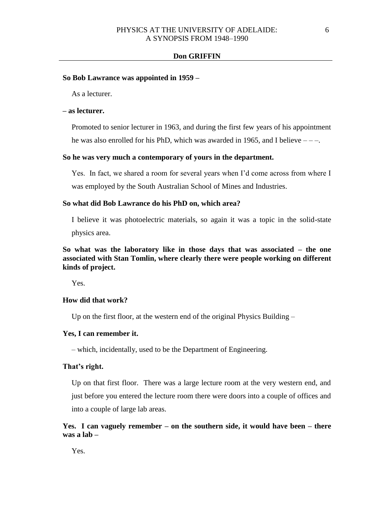### **So Bob Lawrance was appointed in 1959 –**

As a lecturer.

# **– as lecturer.**

Promoted to senior lecturer in 1963, and during the first few years of his appointment he was also enrolled for his PhD, which was awarded in 1965, and I believe  $---$ .

# **So he was very much a contemporary of yours in the department.**

Yes. In fact, we shared a room for several years when I'd come across from where I was employed by the South Australian School of Mines and Industries.

### **So what did Bob Lawrance do his PhD on, which area?**

I believe it was photoelectric materials, so again it was a topic in the solid-state physics area.

**So what was the laboratory like in those days that was associated – the one associated with Stan Tomlin, where clearly there were people working on different kinds of project.**

Yes.

### **How did that work?**

Up on the first floor, at the western end of the original Physics Building –

# **Yes, I can remember it.**

– which, incidentally, used to be the Department of Engineering.

### **That's right.**

Up on that first floor. There was a large lecture room at the very western end, and just before you entered the lecture room there were doors into a couple of offices and into a couple of large lab areas.

# **Yes. I can vaguely remember – on the southern side, it would have been – there was a lab –**

Yes.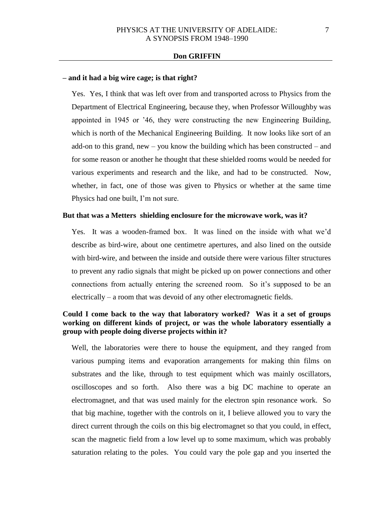### **– and it had a big wire cage; is that right?**

Yes. Yes, I think that was left over from and transported across to Physics from the Department of Electrical Engineering, because they, when Professor Willoughby was appointed in 1945 or '46, they were constructing the new Engineering Building, which is north of the Mechanical Engineering Building. It now looks like sort of an add-on to this grand, new – you know the building which has been constructed – and for some reason or another he thought that these shielded rooms would be needed for various experiments and research and the like, and had to be constructed. Now, whether, in fact, one of those was given to Physics or whether at the same time Physics had one built, I'm not sure.

## **But that was a Metters shielding enclosure for the microwave work, was it?**

Yes. It was a wooden-framed box. It was lined on the inside with what we'd describe as bird-wire, about one centimetre apertures, and also lined on the outside with bird-wire, and between the inside and outside there were various filter structures to prevent any radio signals that might be picked up on power connections and other connections from actually entering the screened room. So it's supposed to be an electrically – a room that was devoid of any other electromagnetic fields.

# **Could I come back to the way that laboratory worked? Was it a set of groups working on different kinds of project, or was the whole laboratory essentially a group with people doing diverse projects within it?**

Well, the laboratories were there to house the equipment, and they ranged from various pumping items and evaporation arrangements for making thin films on substrates and the like, through to test equipment which was mainly oscillators, oscilloscopes and so forth. Also there was a big DC machine to operate an electromagnet, and that was used mainly for the electron spin resonance work. So that big machine, together with the controls on it, I believe allowed you to vary the direct current through the coils on this big electromagnet so that you could, in effect, scan the magnetic field from a low level up to some maximum, which was probably saturation relating to the poles. You could vary the pole gap and you inserted the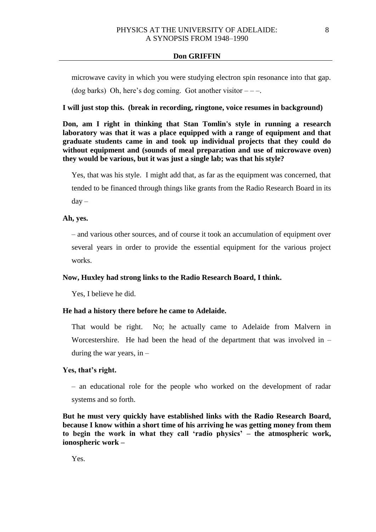microwave cavity in which you were studying electron spin resonance into that gap.

(dog barks) Oh, here's dog coming. Got another visitor  $---$ .

# **I will just stop this. (break in recording, ringtone, voice resumes in background)**

**Don, am I right in thinking that Stan Tomlin's style in running a research laboratory was that it was a place equipped with a range of equipment and that graduate students came in and took up individual projects that they could do without equipment and (sounds of meal preparation and use of microwave oven) they would be various, but it was just a single lab; was that his style?**

Yes, that was his style. I might add that, as far as the equipment was concerned, that tended to be financed through things like grants from the Radio Research Board in its  $day -$ 

# **Ah, yes.**

– and various other sources, and of course it took an accumulation of equipment over several years in order to provide the essential equipment for the various project works.

### **Now, Huxley had strong links to the Radio Research Board, I think.**

Yes, I believe he did.

## **He had a history there before he came to Adelaide.**

That would be right. No; he actually came to Adelaide from Malvern in Worcestershire. He had been the head of the department that was involved in – during the war years, in –

# **Yes, that's right.**

– an educational role for the people who worked on the development of radar systems and so forth.

**But he must very quickly have established links with the Radio Research Board, because I know within a short time of his arriving he was getting money from them to begin the work in what they call 'radio physics' – the atmospheric work, ionospheric work –**

Yes.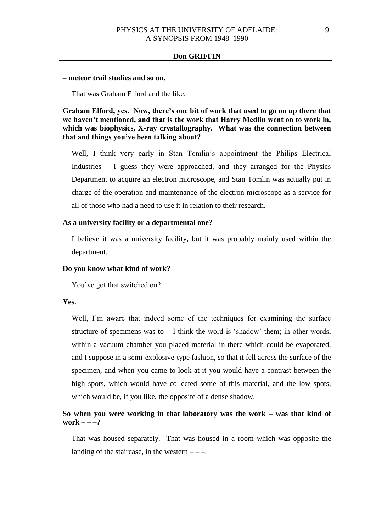### **– meteor trail studies and so on.**

That was Graham Elford and the like.

**Graham Elford, yes. Now, there's one bit of work that used to go on up there that we haven't mentioned, and that is the work that Harry Medlin went on to work in, which was biophysics, X-ray crystallography. What was the connection between that and things you've been talking about?**

Well, I think very early in Stan Tomlin's appointment the Philips Electrical Industries – I guess they were approached, and they arranged for the Physics Department to acquire an electron microscope, and Stan Tomlin was actually put in charge of the operation and maintenance of the electron microscope as a service for all of those who had a need to use it in relation to their research.

# **As a university facility or a departmental one?**

I believe it was a university facility, but it was probably mainly used within the department.

#### **Do you know what kind of work?**

You've got that switched on?

# **Yes.**

Well, I'm aware that indeed some of the techniques for examining the surface structure of specimens was to  $-1$  think the word is 'shadow' them; in other words, within a vacuum chamber you placed material in there which could be evaporated, and I suppose in a semi-explosive-type fashion, so that it fell across the surface of the specimen, and when you came to look at it you would have a contrast between the high spots, which would have collected some of this material, and the low spots, which would be, if you like, the opposite of a dense shadow.

# **So when you were working in that laboratory was the work – was that kind of**   $work$  – – –?

That was housed separately. That was housed in a room which was opposite the landing of the staircase, in the western  $---$ .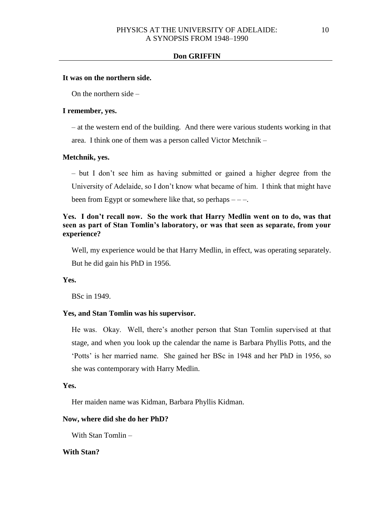### **It was on the northern side.**

On the northern side –

## **I remember, yes.**

– at the western end of the building. And there were various students working in that area. I think one of them was a person called Victor Metchnik –

# **Metchnik, yes.**

– but I don't see him as having submitted or gained a higher degree from the University of Adelaide, so I don't know what became of him. I think that might have been from Egypt or somewhere like that, so perhaps  $---$ .

# **Yes. I don't recall now. So the work that Harry Medlin went on to do, was that seen as part of Stan Tomlin's laboratory, or was that seen as separate, from your experience?**

Well, my experience would be that Harry Medlin, in effect, was operating separately. But he did gain his PhD in 1956.

# **Yes.**

BSc in 1949.

### **Yes, and Stan Tomlin was his supervisor.**

He was. Okay. Well, there's another person that Stan Tomlin supervised at that stage, and when you look up the calendar the name is Barbara Phyllis Potts, and the 'Potts' is her married name. She gained her BSc in 1948 and her PhD in 1956, so she was contemporary with Harry Medlin.

# **Yes.**

Her maiden name was Kidman, Barbara Phyllis Kidman.

# **Now, where did she do her PhD?**

With Stan Tomlin –

# **With Stan?**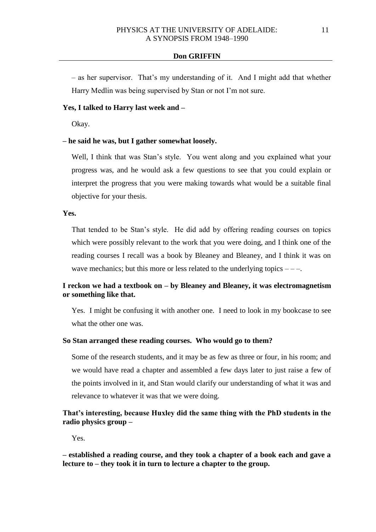– as her supervisor. That's my understanding of it. And I might add that whether Harry Medlin was being supervised by Stan or not I'm not sure.

# **Yes, I talked to Harry last week and –**

Okay.

# **– he said he was, but I gather somewhat loosely.**

Well, I think that was Stan's style. You went along and you explained what your progress was, and he would ask a few questions to see that you could explain or interpret the progress that you were making towards what would be a suitable final objective for your thesis.

# **Yes.**

That tended to be Stan's style. He did add by offering reading courses on topics which were possibly relevant to the work that you were doing, and I think one of the reading courses I recall was a book by Bleaney and Bleaney, and I think it was on wave mechanics; but this more or less related to the underlying topics  $---$ .

# **I reckon we had a textbook on – by Bleaney and Bleaney, it was electromagnetism or something like that.**

Yes. I might be confusing it with another one. I need to look in my bookcase to see what the other one was.

### **So Stan arranged these reading courses. Who would go to them?**

Some of the research students, and it may be as few as three or four, in his room; and we would have read a chapter and assembled a few days later to just raise a few of the points involved in it, and Stan would clarify our understanding of what it was and relevance to whatever it was that we were doing.

# **That's interesting, because Huxley did the same thing with the PhD students in the radio physics group –**

Yes.

**– established a reading course, and they took a chapter of a book each and gave a lecture to – they took it in turn to lecture a chapter to the group.**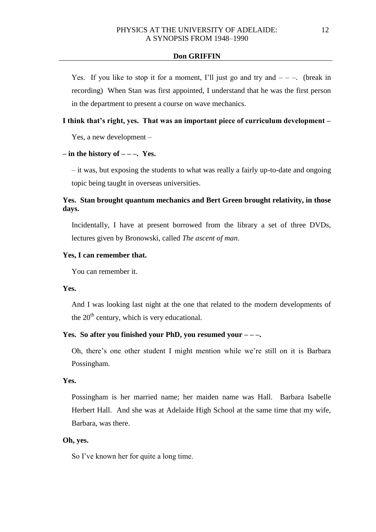Yes. If you like to stop it for a moment, I'll just go and try and  $---$ . (break in recording) When Stan was first appointed, I understand that he was the first person in the department to present a course on wave mechanics.

# **I think that's right, yes. That was an important piece of curriculum development –**

Yes, a new development –

# $-$  **in the history of**  $-$  $-$ **. Yes.**

– it was, but exposing the students to what was really a fairly up-to-date and ongoing topic being taught in overseas universities.

# **Yes. Stan brought quantum mechanics and Bert Green brought relativity, in those days.**

Incidentally, I have at present borrowed from the library a set of three DVDs, lectures given by Bronowski, called *The ascent of man*.

# **Yes, I can remember that.**

You can remember it.

### **Yes.**

And I was looking last night at the one that related to the modern developments of the  $20<sup>th</sup>$  century, which is very educational.

## **Yes. So after you finished your PhD, you resumed your – – –.**

Oh, there's one other student I might mention while we're still on it is Barbara Possingham.

# **Yes.**

Possingham is her married name; her maiden name was Hall. Barbara Isabelle Herbert Hall. And she was at Adelaide High School at the same time that my wife, Barbara, was there.

# **Oh, yes.**

So I've known her for quite a long time.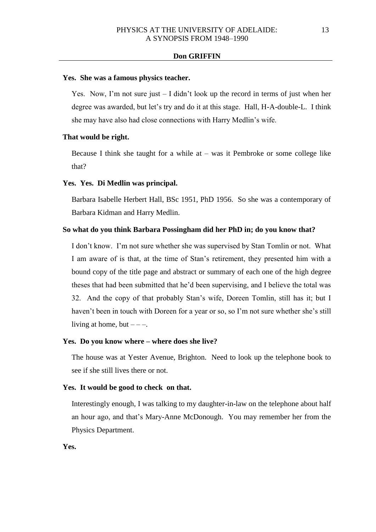#### **Yes. She was a famous physics teacher.**

Yes. Now, I'm not sure just  $-1$  didn't look up the record in terms of just when her degree was awarded, but let's try and do it at this stage. Hall, H-A-double-L. I think she may have also had close connections with Harry Medlin's wife.

## **That would be right.**

Because I think she taught for a while at  $-$  was it Pembroke or some college like that?

## **Yes. Yes. Di Medlin was principal.**

Barbara Isabelle Herbert Hall, BSc 1951, PhD 1956. So she was a contemporary of Barbara Kidman and Harry Medlin.

# **So what do you think Barbara Possingham did her PhD in; do you know that?**

I don't know. I'm not sure whether she was supervised by Stan Tomlin or not. What I am aware of is that, at the time of Stan's retirement, they presented him with a bound copy of the title page and abstract or summary of each one of the high degree theses that had been submitted that he'd been supervising, and I believe the total was 32. And the copy of that probably Stan's wife, Doreen Tomlin, still has it; but I haven't been in touch with Doreen for a year or so, so I'm not sure whether she's still living at home, but  $---$ .

#### **Yes. Do you know where – where does she live?**

The house was at Yester Avenue, Brighton. Need to look up the telephone book to see if she still lives there or not.

# **Yes. It would be good to check on that.**

Interestingly enough, I was talking to my daughter-in-law on the telephone about half an hour ago, and that's Mary-Anne McDonough. You may remember her from the Physics Department.

**Yes.**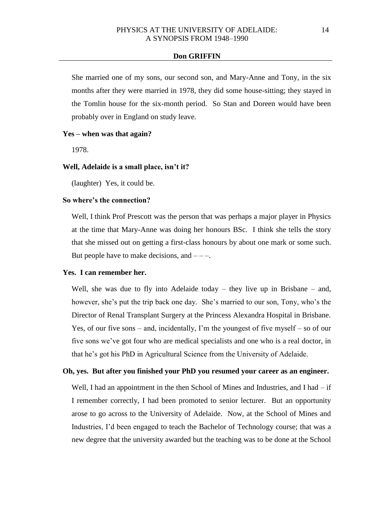She married one of my sons, our second son, and Mary-Anne and Tony, in the six months after they were married in 1978, they did some house-sitting; they stayed in the Tomlin house for the six-month period. So Stan and Doreen would have been probably over in England on study leave.

### **Yes – when was that again?**

1978.

## **Well, Adelaide is a small place, isn't it?**

(laughter) Yes, it could be.

## **So where's the connection?**

Well, I think Prof Prescott was the person that was perhaps a major player in Physics at the time that Mary-Anne was doing her honours BSc. I think she tells the story that she missed out on getting a first-class honours by about one mark or some such. But people have to make decisions, and  $---$ .

# **Yes. I can remember her.**

Well, she was due to fly into Adelaide today – they live up in Brisbane – and, however, she's put the trip back one day. She's married to our son, Tony, who's the Director of Renal Transplant Surgery at the Princess Alexandra Hospital in Brisbane. Yes, of our five sons – and, incidentally, I'm the youngest of five myself – so of our five sons we've got four who are medical specialists and one who is a real doctor, in that he's got his PhD in Agricultural Science from the University of Adelaide.

# **Oh, yes. But after you finished your PhD you resumed your career as an engineer.**

Well, I had an appointment in the then School of Mines and Industries, and I had – if I remember correctly, I had been promoted to senior lecturer. But an opportunity arose to go across to the University of Adelaide. Now, at the School of Mines and Industries, I'd been engaged to teach the Bachelor of Technology course; that was a new degree that the university awarded but the teaching was to be done at the School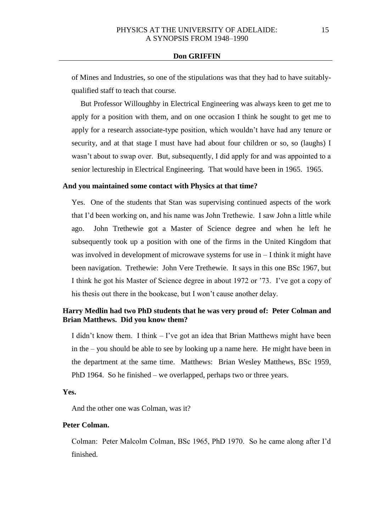of Mines and Industries, so one of the stipulations was that they had to have suitablyqualified staff to teach that course.

But Professor Willoughby in Electrical Engineering was always keen to get me to apply for a position with them, and on one occasion I think he sought to get me to apply for a research associate-type position, which wouldn't have had any tenure or security, and at that stage I must have had about four children or so, so (laughs) I wasn't about to swap over. But, subsequently, I did apply for and was appointed to a senior lectureship in Electrical Engineering. That would have been in 1965. 1965.

### **And you maintained some contact with Physics at that time?**

Yes. One of the students that Stan was supervising continued aspects of the work that I'd been working on, and his name was John Trethewie. I saw John a little while ago. John Trethewie got a Master of Science degree and when he left he subsequently took up a position with one of the firms in the United Kingdom that was involved in development of microwave systems for use in  $-1$  think it might have been navigation. Trethewie: John Vere Trethewie. It says in this one BSc 1967, but I think he got his Master of Science degree in about 1972 or '73. I've got a copy of his thesis out there in the bookcase, but I won't cause another delay.

# **Harry Medlin had two PhD students that he was very proud of: Peter Colman and Brian Matthews. Did you know them?**

I didn't know them. I think – I've got an idea that Brian Matthews might have been in the – you should be able to see by looking up a name here. He might have been in the department at the same time. Matthews: Brian Wesley Matthews, BSc 1959, PhD 1964. So he finished – we overlapped, perhaps two or three years.

**Yes.**

And the other one was Colman, was it?

# **Peter Colman.**

Colman: Peter Malcolm Colman, BSc 1965, PhD 1970. So he came along after I'd finished.